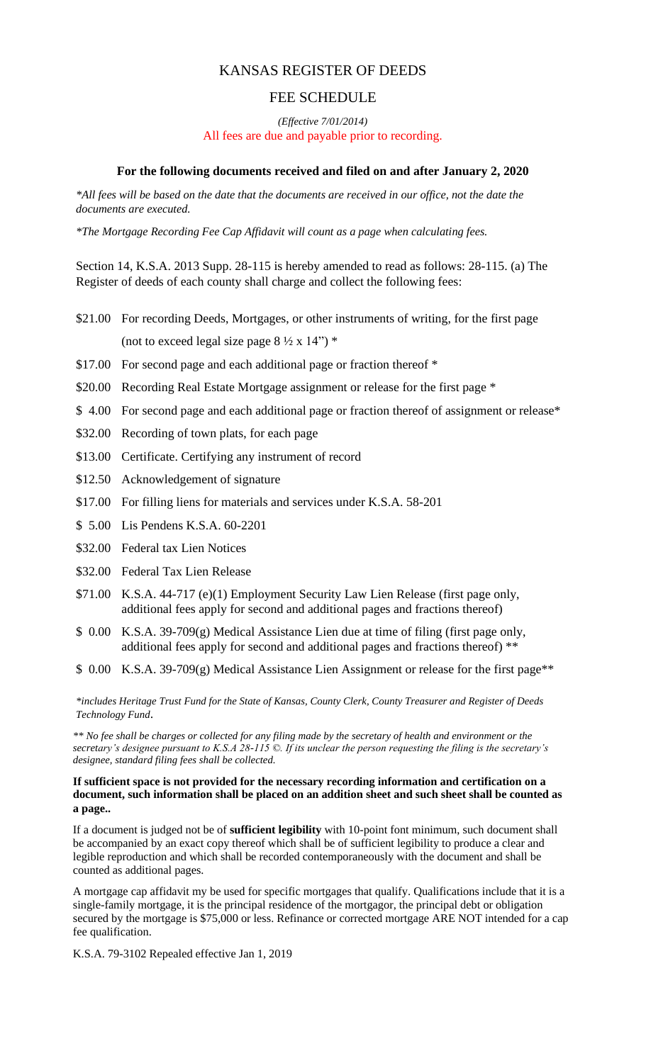# KANSAS REGISTER OF DEEDS

### FEE SCHEDULE

*(Effective 7/01/2014)*  All fees are due and payable prior to recording.

### **For the following documents received and filed on and after January 2, 2020**

*\*All fees will be based on the date that the documents are received in our office, not the date the documents are executed.*

*\*The Mortgage Recording Fee Cap Affidavit will count as a page when calculating fees.*

Section 14, K.S.A. 2013 Supp. 28-115 is hereby amended to read as follows: 28-115. (a) The Register of deeds of each county shall charge and collect the following fees:

- \$21.00 For recording Deeds, Mortgages, or other instruments of writing, for the first page (not to exceed legal size page  $8\frac{1}{2} \times 14$ ") \*
- \$17.00 For second page and each additional page or fraction thereof  $*$
- \$20.00 Recording Real Estate Mortgage assignment or release for the first page \*
- \$4.00 For second page and each additional page or fraction thereof of assignment or release\*
- \$32.00 Recording of town plats, for each page
- \$13.00 Certificate. Certifying any instrument of record
- \$12.50 Acknowledgement of signature
- \$17.00 For filling liens for materials and services under K.S.A. 58-201
- \$ 5.00 Lis Pendens K.S.A. 60-2201
- \$32.00 Federal tax Lien Notices
- \$32.00 Federal Tax Lien Release
- \$71.00 K.S.A. 44-717 (e)(1) Employment Security Law Lien Release (first page only, additional fees apply for second and additional pages and fractions thereof)
- \$ 0.00 K.S.A. 39-709(g) Medical Assistance Lien due at time of filing (first page only, additional fees apply for second and additional pages and fractions thereof) \*\*
- \$ 0.00 K.S.A. 39-709(g) Medical Assistance Lien Assignment or release for the first page\*\*

*\*includes Heritage Trust Fund for the State of Kansas, County Clerk, County Treasurer and Register of Deeds Technology Fund*.

*\*\* No fee shall be charges or collected for any filing made by the secretary of health and environment or the secretary's designee pursuant to K.S.A 28-115 ©. If its unclear the person requesting the filing is the secretary's designee, standard filing fees shall be collected.*

#### **If sufficient space is not provided for the necessary recording information and certification on a document, such information shall be placed on an addition sheet and such sheet shall be counted as a page..**

If a document is judged not be of **sufficient legibility** with 10-point font minimum, such document shall be accompanied by an exact copy thereof which shall be of sufficient legibility to produce a clear and legible reproduction and which shall be recorded contemporaneously with the document and shall be counted as additional pages.

A mortgage cap affidavit my be used for specific mortgages that qualify. Qualifications include that it is a single-family mortgage, it is the principal residence of the mortgagor, the principal debt or obligation secured by the mortgage is \$75,000 or less. Refinance or corrected mortgage ARE NOT intended for a cap fee qualification.

K.S.A. 79-3102 Repealed effective Jan 1, 2019